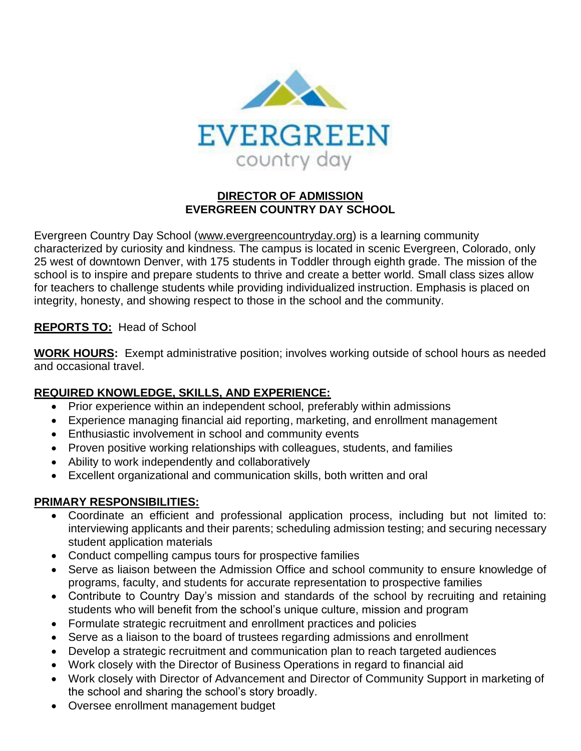

## **DIRECTOR OF ADMISSION EVERGREEN COUNTRY DAY SCHOOL**

Evergreen Country Day School (www.evergreencountryday.org) is a learning community characterized by curiosity and kindness. The campus is located in scenic Evergreen, Colorado, only 25 west of downtown Denver, with 175 students in Toddler through eighth grade. The mission of the school is to inspire and prepare students to thrive and create a better world. Small class sizes allow for teachers to challenge students while providing individualized instruction. Emphasis is placed on integrity, honesty, and showing respect to those in the school and the community.

## **REPORTS TO:** Head of School

**WORK HOURS:** Exempt administrative position; involves working outside of school hours as needed and occasional travel.

## **REQUIRED KNOWLEDGE, SKILLS, AND EXPERIENCE:**

- Prior experience within an independent school, preferably within admissions
- Experience managing financial aid reporting, marketing, and enrollment management
- Enthusiastic involvement in school and community events
- Proven positive working relationships with colleagues, students, and families
- Ability to work independently and collaboratively
- Excellent organizational and communication skills, both written and oral

## **PRIMARY RESPONSIBILITIES:**

- Coordinate an efficient and professional application process, including but not limited to: interviewing applicants and their parents; scheduling admission testing; and securing necessary student application materials
- Conduct compelling campus tours for prospective families
- Serve as liaison between the Admission Office and school community to ensure knowledge of programs, faculty, and students for accurate representation to prospective families
- Contribute to Country Day's mission and standards of the school by recruiting and retaining students who will benefit from the school's unique culture, mission and program
- Formulate strategic recruitment and enrollment practices and policies
- Serve as a liaison to the board of trustees regarding admissions and enrollment
- Develop a strategic recruitment and communication plan to reach targeted audiences
- Work closely with the Director of Business Operations in regard to financial aid
- Work closely with Director of Advancement and Director of Community Support in marketing of the school and sharing the school's story broadly.
- Oversee enrollment management budget